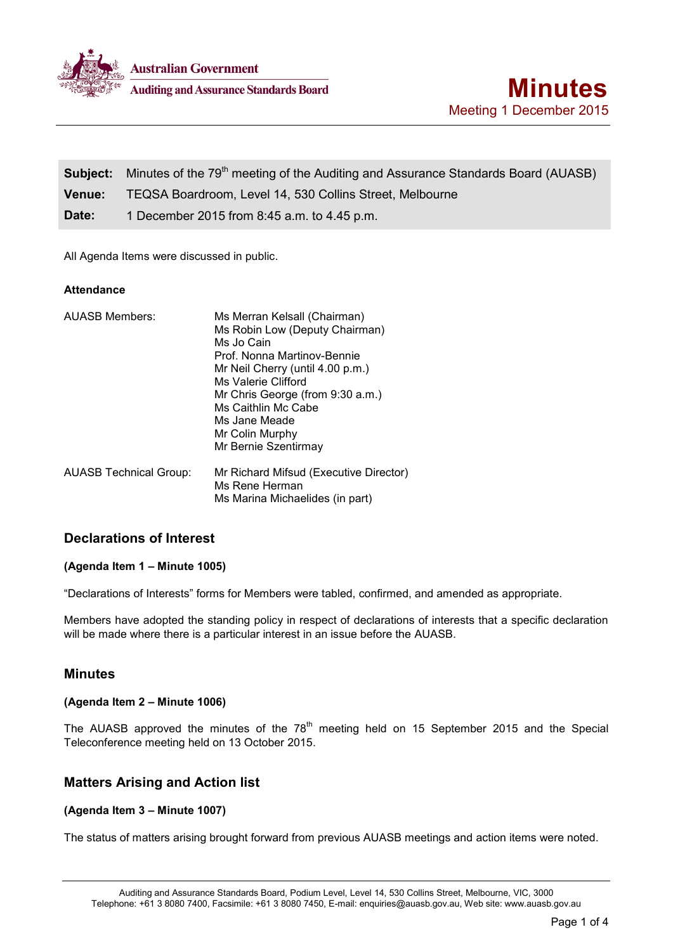

|        | <b>Subject:</b> Minutes of the 79 <sup>th</sup> meeting of the Auditing and Assurance Standards Board (AUASB) |
|--------|---------------------------------------------------------------------------------------------------------------|
| Venue: | TEQSA Boardroom, Level 14, 530 Collins Street, Melbourne                                                      |
| Date:  | 1 December 2015 from 8:45 a.m. to 4.45 p.m.                                                                   |

All Agenda Items were discussed in public.

## **Attendance**

| <b>AUASB Members:</b>         | Ms Merran Kelsall (Chairman)           |
|-------------------------------|----------------------------------------|
|                               | Ms Robin Low (Deputy Chairman)         |
|                               | Ms Jo Cain                             |
|                               | Prof. Nonna Martinov-Bennie            |
|                               | Mr Neil Cherry (until 4.00 p.m.)       |
|                               | Ms Valerie Clifford                    |
|                               | Mr Chris George (from 9:30 a.m.)       |
|                               | Ms Caithlin Mc Cabe                    |
|                               | Ms Jane Meade                          |
|                               | Mr Colin Murphy                        |
|                               | Mr Bernie Szentirmay                   |
| <b>AUASB Technical Group:</b> | Mr Richard Mifsud (Executive Director) |
|                               | Ms Rene Herman                         |
|                               | Ms Marina Michaelides (in part)        |

# **Declarations of Interest**

## **(Agenda Item 1 – Minute 1005)**

"Declarations of Interests" forms for Members were tabled, confirmed, and amended as appropriate.

Members have adopted the standing policy in respect of declarations of interests that a specific declaration will be made where there is a particular interest in an issue before the AUASB.

## **Minutes**

## **(Agenda Item 2 – Minute 1006)**

The AUASB approved the minutes of the 78<sup>th</sup> meeting held on 15 September 2015 and the Special Teleconference meeting held on 13 October 2015.

## **Matters Arising and Action list**

## **(Agenda Item 3 – Minute 1007)**

The status of matters arising brought forward from previous AUASB meetings and action items were noted.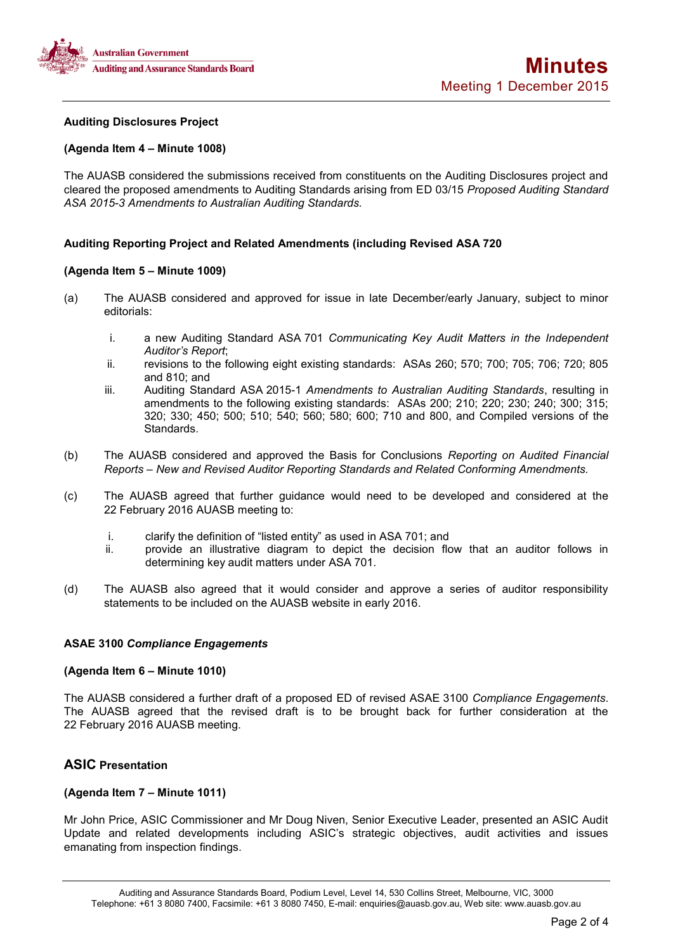

### **Auditing Disclosures Project**

### **(Agenda Item 4 – Minute 1008)**

The AUASB considered the submissions received from constituents on the Auditing Disclosures project and cleared the proposed amendments to Auditing Standards arising from ED 03/15 *Proposed Auditing Standard ASA 2015-3 Amendments to Australian Auditing Standards.*

### **Auditing Reporting Project and Related Amendments (including Revised ASA 720**

### **(Agenda Item 5 – Minute 1009)**

- (a) The AUASB considered and approved for issue in late December/early January, subject to minor editorials:
	- i. a new Auditing Standard ASA 701 *Communicating Key Audit Matters in the Independent Auditor's Report*;
	- ii. revisions to the following eight existing standards: ASAs 260; 570; 700; 705; 706; 720; 805 and 810; and
	- iii. Auditing Standard ASA 2015-1 *Amendments to Australian Auditing Standards*, resulting in amendments to the following existing standards: ASAs 200; 210; 220; 230; 240; 300; 315; 320; 330; 450; 500; 510; 540; 560; 580; 600; 710 and 800, and Compiled versions of the Standards.
- (b) The AUASB considered and approved the Basis for Conclusions *Reporting on Audited Financial Reports – New and Revised Auditor Reporting Standards and Related Conforming Amendments.*
- (c) The AUASB agreed that further guidance would need to be developed and considered at the 22 February 2016 AUASB meeting to:
	- i. clarify the definition of "listed entity" as used in ASA 701; and<br>ii. corovide an illustrative diagram to depict the decision flo
	- provide an illustrative diagram to depict the decision flow that an auditor follows in determining key audit matters under ASA 701.
- (d) The AUASB also agreed that it would consider and approve a series of auditor responsibility statements to be included on the AUASB website in early 2016.

### **ASAE 3100** *Compliance Engagements*

#### **(Agenda Item 6 – Minute 1010)**

The AUASB considered a further draft of a proposed ED of revised ASAE 3100 *Compliance Engagements*. The AUASB agreed that the revised draft is to be brought back for further consideration at the 22 February 2016 AUASB meeting.

## **ASIC Presentation**

## **(Agenda Item 7 – Minute 1011)**

Mr John Price, ASIC Commissioner and Mr Doug Niven, Senior Executive Leader, presented an ASIC Audit Update and related developments including ASIC's strategic objectives, audit activities and issues emanating from inspection findings.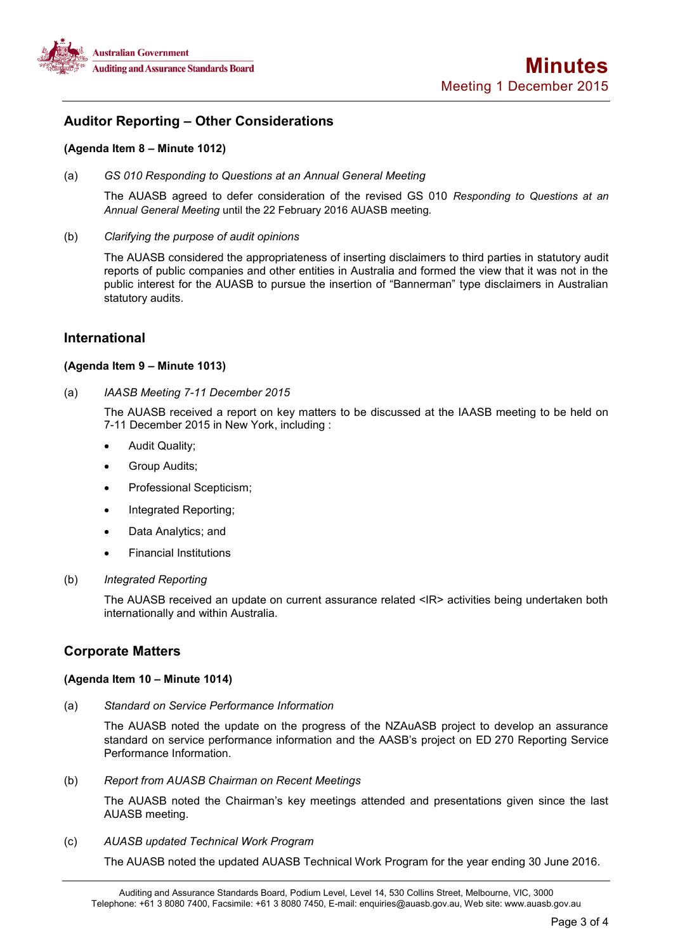

## **Auditor Reporting – Other Considerations**

## **(Agenda Item 8 – Minute 1012)**

(a) *GS 010 Responding to Questions at an Annual General Meeting*

The AUASB agreed to defer consideration of the revised GS 010 *Responding to Questions at an Annual General Meeting* until the 22 February 2016 AUASB meeting*.*

(b) *Clarifying the purpose of audit opinions* 

The AUASB considered the appropriateness of inserting disclaimers to third parties in statutory audit reports of public companies and other entities in Australia and formed the view that it was not in the public interest for the AUASB to pursue the insertion of "Bannerman" type disclaimers in Australian statutory audits.

## **International**

### **(Agenda Item 9 – Minute 1013)**

(a) *IAASB Meeting 7-11 December 2015* 

The AUASB received a report on key matters to be discussed at the IAASB meeting to be held on 7-11 December 2015 in New York, including :

- Audit Quality;
- Group Audits;
- Professional Scepticism;
- Integrated Reporting;
- Data Analytics; and
- Financial Institutions

#### (b) *Integrated Reporting*

The AUASB received an update on current assurance related <IR> activities being undertaken both internationally and within Australia.

## **Corporate Matters**

### **(Agenda Item 10 – Minute 1014)**

(a) *Standard on Service Performance Information* 

The AUASB noted the update on the progress of the NZAuASB project to develop an assurance standard on service performance information and the AASB's project on ED 270 Reporting Service Performance Information.

(b) *Report from AUASB Chairman on Recent Meetings*

The AUASB noted the Chairman's key meetings attended and presentations given since the last AUASB meeting.

(c) *AUASB updated Technical Work Program*

The AUASB noted the updated AUASB Technical Work Program for the year ending 30 June 2016.